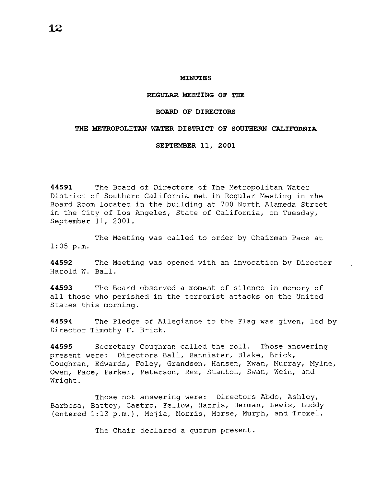#### **MINUTES**

### **REGULAR MEETING OF THE**

### **BOARD OF DIRECTORS**

### **THE METROPOLITAN WATER DISTRICT OF SOUTHERN CALIFORNIA**

**SEPTEMBER 11, 2001** 

**44591** The Board of Directors of The Metropolitan Water District of Southern California met in Regular Meeting in the Board Room located in the building at 700 North Alameda Street in the City of Los Angeles, State of California, on Tuesday, September 11, 2001.

The Meeting was called to order by Chairman Pace at 1:05 p.m.

**44592** The Meeting was opened with an invocation by Director Harold W. Ball.

**44593** The Board observed a moment of silence in memory of all those who perished in the terrorist attacks on the United States this morning.

**44594** The Pledge of Allegiance to the Flag was given, led by Director Timothy F. Brick.

**44595** Secretary Coughran called the roll. Those answering present were: Directors Ball, Bannister, Blake, Brick, Coughran, Edwards, Foley, Grandsen, Hansen, Kwan, Murray, Mylne, Owen, Pace, Parker, Peterson, Rez, Stanton, Swan, Wein, and Wright.

Those not answering were: Directors Abdo, Ashley, Barbosa, Battey, Castro, Fellow, Harris, Herman, Lewis, Luddy (entered 1:13 p.m.), Mejia, Morris, Morse, Murph, and Troxel.

The Chair declared a quorum present.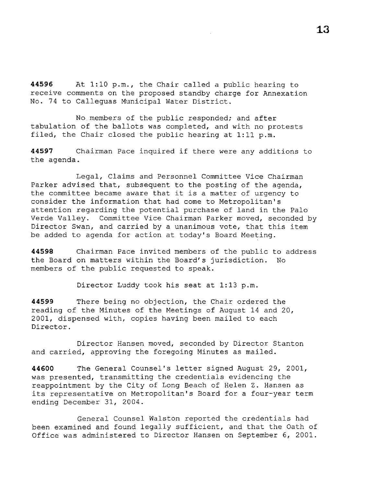**44596** At 1:10 p.m., the Chair called a public hearing to receive comments on the proposed standby charge for Annexation No. 74 to Calleguas Municipal Water District.

No members of the public responded; and after tabulation of the ballots was completed, and with no protests filed, the Chair closed the public hearing at 1:11 p.m.

**<sup>44597</sup>**Chairman Pace inquired if there were any additions to the agenda.

Legal, Claims and Personnel Committee Vice Chairman Parker advised that, subsequent to the posting of the agenda, the committee became aware that it is a matter of urgency to consider the information that had come to Metropolitan's attention regarding the potential purchase of land in the Palo Verde Valley. Committee Vice Chairman Parker moved, seconded by Director Swan, and carried by a unanimous vote, that this item be added to agenda for action at today's Board Meeting.

**44598** Chairman Pace invited members of the public to address the Board on matters within the Board's jurisdiction. No members of the public requested to speak.

Director Luddy took his seat at 1:13 p.m.

**44599** There being no objection, the Chair ordered the reading of the Minutes of the Meetings of August 14 and 20, 2001, dispensed with, copies having been mailed to each Director.

Director Hansen moved, seconded by Director Stanton and carried, approving the foregoing Minutes as mailed.

**44600** The General Counsel's letter signed August 29, 2001, was presented, transmitting the credentials evidencing the reappointment by the City of Long Beach of Helen Z. Hansen as its representative on Metropolitan's Board for a four-year term ending December 31, 2004.

General Counsel Walston reported the credentials had been examined and found legally sufficient, and that the Oath of Office was administered to Director Hansen on September 6, 2001.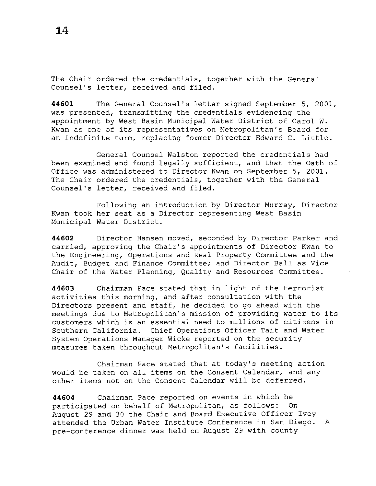**44601** The General Counsel's letter signed September 5, 2001, was presented, transmitting the credentials evidencing the appointment by West Basin Municipal Water District of Carol W. Kwan as one of its representatives on Metropolitan's Board for an indefinite term, replacing former Director Edward C. Little.

General Counsel Walston reported the credentials had been examined and found legally sufficient, and that the Oath of Office was administered to Director Kwan on September 5, 2001. The Chair ordered the credentials, together with the General Counsel's letter, received and filed.

Following an introduction by Director Murray, Director Kwan took her seat as a Director representing West Basin Municipal Water District.

**44602** Director Hansen moved, seconded by Director Parker and carried, approving the Chair's appointments of Director Kwan to the Engineering, Operations and Real Property Committee and the Audit, Budget and Finance Committee; and Director Ball as Vice Chair of the Water Planning, Quality and Resources Committee.

**44603** Chairman Pace stated that in light of the terrorist activities this morning, and after consultation with the Directors present and staff, he decided to go ahead with the meetings due to Metropolitan's mission of providing water to its customers which is an essential need to millions of citizens in Southern California. Chief Operations Officer Tait and Water System Operations Manager Wicke reported on the security measures taken throughout Metropolitan's facilities.

Chairman Pace stated that at today's meeting action would be taken on all items on the Consent Calendar, and any other items not on the Consent Calendar will be deferred.

**44604** Chairman Pace reported on events in which he participated on behalf of Metropolitan, as follows: On August 29 and 30 the Chair and Board Executive Officer Ivey attended the Urban Water Institute Conference in San Diego. A pre-conference dinner was held on August 29 with county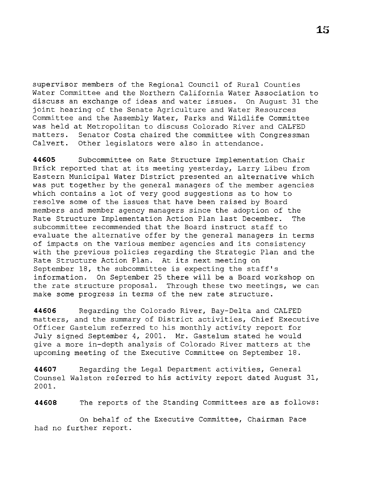supervisor members of the Regional Council of Rural Counties Water Committee and the Northern California Water Association to discuss an exchange of ideas and water issues. On August 31 the joint hearing of the Senate Agriculture and Water Resources Committee and the Assembly Water, Parks and Wildlife Committee was held at Metropolitan to discuss Colorado River and CALFED matters. Senator Costa chaired the committee with Congressman Calvert. Other legislators were also in attendance.

**44605** Subcommittee on Rate Structure Implementation Chair Brick reported that at its meeting yesterday, Larry Libeu from Eastern Municipal Water District presented an alternative which was put together by the general managers of the member agencies which contains a lot of very good suggestions as to how to resolve some of the issues that have been raised by Board members and member agency managers since the adoption of the Rate Structure Implementation Action Plan last December. The subcommittee recommended that the Board instruct staff to evaluate the alternative offer by the general managers in terms of impacts on the various member agencies and its consistency with the previous policies regarding the Strategic Plan and the Rate Structure Action Plan. At its next meeting on September 18, the subcommittee is expecting the staff's information. On September 25 there will be a Board workshop on the rate structure proposal. Through these two meetings, we can make some progress in terms of the new rate structure.

**44606** Regarding the Colorado River, Bay-Delta and CALFED matters, and the summary of District activities, Chief Executive Officer Gastelum referred to his monthly activity report for July signed September 4, 2001. Mr. Gastelum stated he would give a more in-depth analysis of Colorado River matters at the upcoming meeting of the Executive Committee on September 18.

**44607** Regarding the Legal Department activities, General Counsel Walston referred to his activity report dated August 31, 2001.

**44608** The reports of the Standing Committees are as follows:

On behalf of the Executive Committee, Chairman Pace had no further report.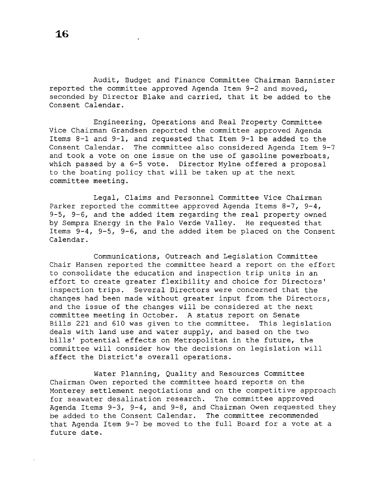Audit, Budget and Finance Committee Chairman Bannister reported the committee approved Agenda Item 9-2 and moved, seconded by Director Blake and carried, that it be added to the Consent Calendar.

Engineering, Operations and Real Property Committee Vice Chairman Grandsen reported the committee approved Agenda Items 8-1 and 9-1, and requested that Item 9-1 be added to the Consent Calendar. The committee also considered Agenda Item 9-7 and took a vote on one issue on the use of gasoline powerboats, which passed by a 6-5 vote. Director Mylne offered a proposal to the boating policy that will be taken up at the next committee meeting.

Legal, Claims and Personnel Committee Vice Chairman Parker reported the committee approved Agenda Items 8-7, 9-4, 9-5, 9-6, and the added item regarding the real property owned by Sempra Energy in the Palo Verde Valley. He requested that Items 9-4, 9-5, 9-6, and the added item be placed on the Consent Calendar.

Communications, Outreach and Legislation Committee Chair Hansen reported the committee heard a report on the effort to consolidate the education and inspection trip units in an effort to create greater flexibility and choice for Directors' inspection trips. Several Directors were concerned that the changes had been made without greater input from the Directors, and the issue of the changes will be considered at the next committee meeting in October. A status report on Senate Bills 221 and 610 was given to the committee. This legislation deals with land use and water supply, and based on the two bills' potential effects on Metropolitan in the future, the committee will consider how the decisions on legislation will affect the District's overall operations.

Water Planning, Quality and Resources Committee Chairman Owen reported the committee heard reports on the Monterey settlement negotiations and on the competitive approach for seawater desalination research. The committee approved Agenda Items 9-3, 9-4, and 9-8, and Chairman Owen requested they be added to the Consent Calendar. The committee recommended that Agenda Item 9-7 be moved to the full Board for a vote at a future date.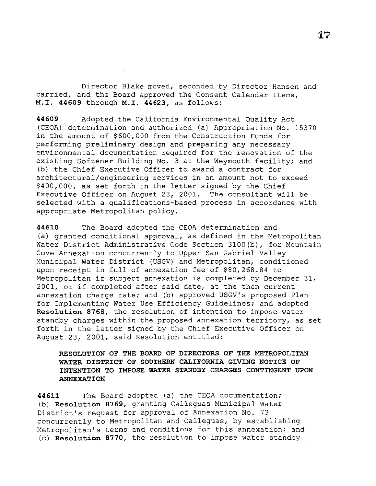Director Blake moved, seconded by Director Hansen and carried, and the Board approved the Consent Calendar Items, **M.I. 44609** through **M.I. 44623,** as follows:

**44609** Adopted the California Environmental Quality Act (CEQA) determination and authorized (a) Appropriation No. 15370 in the amount of \$600,000 from the Construction Funds for performing preliminary design and preparing any necessary environmental documentation required for the renovation of the existing Softener Building No. 3 at the Weymouth facility; and (b) the Chief Executive Officer to award a contract for architectural/engineering services in an amount not to exceed \$400,000, as set forth in the letter signed by the Chief Executive Officer on August 23, 2001. The consultant will be selected with a qualifications-based process in accordance with appropriate Metropolitan policy.

**44610** The Board adopted the CEQA determination and (a) granted conditional approval, as defined in the Metropolitan Water District Administrative Code Section 3100(b), for Mountain Cove Annexation concurrently to Upper San Gabriel Valley Municipal Water District (USGV) and Metropolitan, conditioned upon receipt in full of annexation fee of \$80,268.84 to Metropolitan if subject annexation is completed by December 31, 2001, or if completed after said date, at the then current annexation charge rate; and (b) approved USGV's proposed Plan for Implementing Water Use Efficiency Guidelines; and adopted **Resolution 8768,** the resolution of intention to impose water standby charges within the proposed annexation territory, as set forth in the letter signed by the Chief Executive Officer on August 23, 2001, said Resolution entitled:

**RESOLUTION OF THE BOARD OF DIRECTORS OF THE METROPOLITAN WATER DISTRICT OF SOUTHERN CALIFORNIA GIVING NOTICE OF INTENTION TO IMPOSE WATER STANDBY CHARGES CONTINGENT UPON ANNEXATION** 

**44611** The Board adopted (a) the CEQA documentation; (b) **Resolution 8769,** granting Calleguas Municipal Water District's request for approval of Annexation No. 73 concurrently to Metropolitan and Calleguas, by establishing Metropolitan's terms and conditions for this annexation; and (c) **Resolution 8770,** the resolution to impose water standby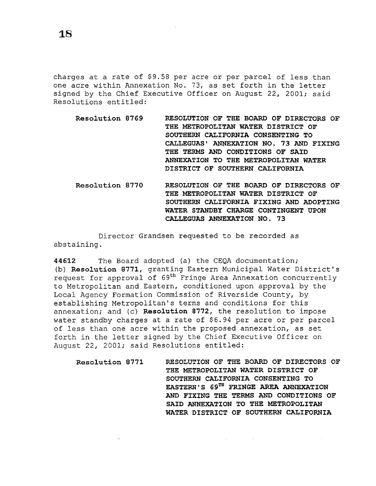**1.8** 

charges at a rate of \$9.58 per acre or per parcel of less than one acre within Annexation No. 73, as set forth in the letter signed by the Chief Executive Officer on August 22, 2001; said Resolutions entitled:

- **Resolution 8769 RESOLUTION OF THE BOARD OF DIRECTORS OF THE METROPOLITAN WATER DISTRICT OF SOUTHERN CALIFORNIA CONSENTING TO CALLEGUAS' ANNEXATION NO. 73 AND FIXING THE TERMS AND CONDITIONS OF SAID ANNEXATION TO THE METROPOLITAN WATER DISTRICT OF SOUTHERN CALIFORNIA**
- **Resolution 8770 RESOLUTION OF THE BOARD OF DIRECTORS OF THE METROPOLITAN WATER DISTRICT OF SOUTHERN CALIFORNIA FIXING AND ADOPTING WATER STANDBY CHARGE CONTINGENT UPON CALLEGUAS ANNEXATION NO. 73**

Director Grandsen requested to be recorded as abstaining.

**44612** The Board adopted (a) the CEQA documentation; (b) **Resolution 8771,** granting Eastern Municipal Water District's request for approval of 69<sup>th</sup> Fringe Area Annexation concurrently to Metropolitan and Eastern, conditioned upon approval by the Local Agency Formation Commission of Riverside County, by establishing Metropolitan's terms and conditions for this annexation; and (c) **Resolution 8772,** the resolution to impose water standby charges at a rate of \$6.94 per acre or per parcel of less than one acre within the proposed annexation, as set forth in the letter signed by the Chief Executive Officer on August 22, 2001; said Resolutions entitled:

**Resolution 8771 RESOLUTION OF THE BOARD OF DIRECTORS OF THE METROPOLITAN WATER DISTRICT OF SOUTHERN CALIFORNIA CONSENTING TO EASTERN'S 69TH FRINGE AREA ANNEXATION AND FIXING THE TERMS AND CONDITIONS OF SAID ANNEXATION TO THE METROPOLITAN WATER DISTRICT OF SOUTHERN CALIFORNIA** 

 $\mathcal{A}^{\mathcal{A}}$  and  $\mathcal{A}^{\mathcal{A}}$  are  $\mathcal{A}^{\mathcal{A}}$  .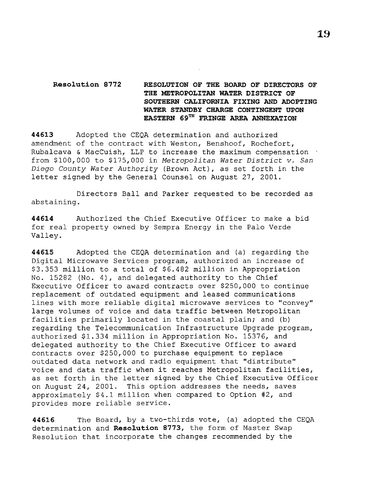# **Resolution 8772 RESOLUTION OF THE BOARD OF DIRECTORS OF THE METROPOLITAN WATER DISTRICT OF SOUTHERN CALIFORNIA FIXING AND ADOPTING WATER STANDBY CHARGE CONTINGENT UPON EASTERN 69TH FRINGE AREA ANNEXATION**

**44613** Adopted the CEQA determination and authorized amendment of the contract with Weston, Benshoof, Rochefort, Rubalcava & MacCuish, LLP to increase the maximum compensation . from \$100,000 to \$175,000 in *Metropolitan Water District v. San Diego County Water Authority* (Brown Act), as set forth in the letter signed by the General Counsel on August 27, 2001.

Directors Ball and Parker requested to be recorded as abstaining.

**44614** Authorized the Chief Executive Officer to make a bid for real property owned by Sempra Energy in the Palo Verde Valley.

**44615** Adopted the CEQA determination and (a) regarding the Digital Microwave Services program, authorized an increase of \$3.353 million to a total of \$6.482 million in Appropriation No. 15282 (No. 4), and delegated authority to the Chief Executive Officer to award contracts over \$250,000 to continue replacement of outdated equipment and leased communications lines with more reliable digital microwave services to ''convey'' large volumes of voice and data traffic between Metropolitan facilities primarily located in the coastal plain; and (b) regarding the Telecommunication Infrastructure Upgrade program, authorized \$1.334 million in Appropriation No. 15376, and delegated authority to the Chief Executive Officer to award contracts over \$250,000 to purchase equipment to replace outdated data network and radio equipment that "distribute" voice and data traffic when it reaches Metropolitan facilities, as set forth in the letter signed by the Chief Executive Officer on August 24, 2001. This option addresses the needs, saves approximately \$4.1 million when compared to Option #2, and provides more reliable service.

**44616** The Board, by a two-thirds vote, (a) adopted the CEQA determination and **Resolution 8773,** the form of Master Swap Resolution that incorporate the changes recommended by the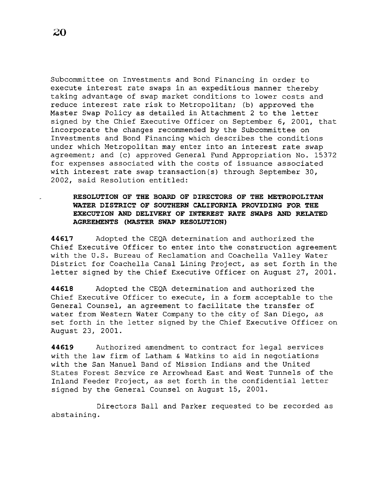Subcommittee on Investments and Bond Financing in order to execute interest rate swaps in an expeditious manner thereby taking advantage of swap market conditions to lower costs and reduce interest rate risk to Metropolitan; (b) approved the Master Swap Policy as detailed in Attachment 2 to the letter signed by the Chief Executive Officer on September 6, 2001, that incorporate the changes recommended by the Subcommittee on Investments and Bond Financing which describes the conditions under which Metropolitan may enter into an interest rate swap agreement; and (c) approved General Fund Appropriation No. 15372 for expenses associated with the costs of issuance associated with interest rate swap transaction(s) through September 30, 2002, said Resolution entitled:

## **RESOLUTION OF THE BOARD OF DIRECTORS OF THE METROPOLITAN WATER DISTRICT OF SOUTHERN CALIFORNIA PROVIDING FOR THE EXECUTION AND DELIVERY OF INTEREST RATE SWAPS AND RELATED AGREEMENTS (MASTER SWAP RESOLUTION)**

44617 Adopted the CEQA determination and authorized the Chief Executive Officer to enter into the construction agreement with the U.S. Bureau of Reclamation and Coachella Valley Water District for Coachella Canal Lining Project, as set forth in the letter signed by the Chief Executive Officer on August 27, 2001.

**44618** Adopted the CEQA determination and authorized the Chief Executive Officer to execute, in a form acceptable to the General Counsel, an agreement to facilitate the transfer of water from Western Water Company to the city of San Diego, as set forth in the letter signed by the Chief Executive Officer on August 23, 2001.

**44619** Authorized amendment to contract for legal services with the law firm of Latham & Watkins to aid in negotiations with the San Manuel Band of Mission Indians and the United States Forest Service re Arrowhead East and West Tunnels of the Inland Feeder Project, as set forth in the confidential letter signed by the General Counsel on August 15, 2001.

Directors Ball and Parker requested to be recorded as abstaining.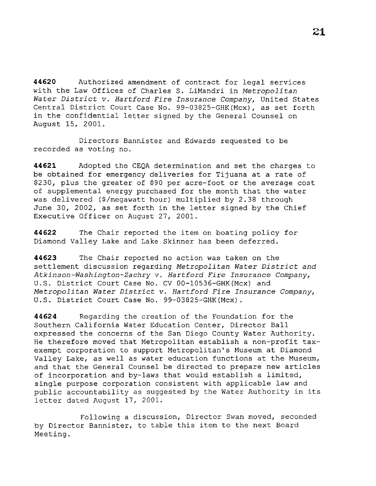**44620** Authorized amendment of contract for legal services with the Law Offices of Charles S. LiMandri in *Metropolitan Water District v. Hartford Fire Insurance Company,* United States Central District Court Case No. 99-03825-GHK(Mcx), as set forth in the confidential letter signed by the General Counsel on August 15, 2001.

Directors Bannister and Edwards requested to be recorded as voting no.

**44621** Adopted the CEQA determination and set the charges to be obtained for emergency deliveries for Tijuana at a rate of \$230, plus the greater of \$90 per acre-foot or the average cost of supplemental energy purchased for the month that the water was delivered (\$/megawatt hour) multiplied by 2.38 through June 30, 2002, as set forth in the letter signed by the Chief Executive Officer on August 27, 2001.

**44622** The Chair reported the item on boating policy for Diamond Valley Lake and Lake Skinner has been deferred.

**44623** The Chair reported no action was taken on the settlement discussion regarding *Metropolitan Water District and Atkinson-Washington-Zachry v. Hartford Fire Insurance Company,*  U.S. District Court Case No. CV 00-10536-GHK(Mcx) and *Metropolitan Water District v. Hartford Fire Insurance Company,*  U.S. District Court Case No. 99-03825-GHK(Mcx).

**44624** Regarding the creation of the Foundation for the Southern California Water Education Center, Director Ball expressed the concerns of the San Diego County Water Authority. He therefore moved that Metropolitan establish a non-profit taxexempt corporation to support Metropolitan's Museum at Diamond Valley Lake, as well as water education functions at the Museum, and that the General Counsel be directed to prepare new articles of incorporation and by-laws that would establish a limited, single purpose corporation consistent with applicable law and public accountability as suggested by the Water Authority in its letter dated August 17, 2001.

Following a discussion, Director Swan moved, seconded by Director Bannister, to table this item to the next Board Meeting.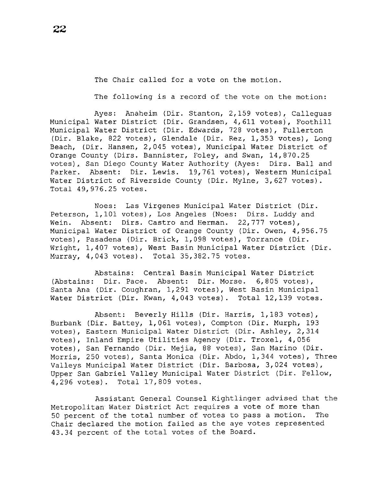The Chair called for a vote on the motion.

The following is a record of the vote on the motion:

Ayes: Anaheim (Dir. Stanton, 2,159 votes), Calleguas Municipal Water District (Dir. Grandsen, 4,611 votes), Foothill Municipal Water District (Dir. Edwards, 728 votes), Fullerton (Dir. Blake, 822 votes), Glendale (Dir. Rez, 1,353 votes), Long Beach, (Dir. Hansen, 2,045 votes), Municipal Water District of Orange County (Dirs. Bannister, Foley, and Swan, 14,870.25 votes), San Diego County Water Authority (Ayes: Dirs. Ball and Parker. Absent: Dir. Lewis. 19,761 votes), Western Municipal Water District of Riverside County (Dir. Mylne, 3,627 votes). Total 49,976.25 votes.

Noes: Las Virgenes Municipal Water District (Dir. Peterson, 1,101 votes), Los Angeles (Noes: Dirs. Luddy and Wein. Absent: Dirs. Castro and Herman. 22,777 votes), Municipal Water District of Orange County (Dir. Owen, 4,956.75 votes), Pasadena (Dir. Brick, 1,098 votes), Torrance (Dir. Wright, 1,407 votes), West Basin Municipal Water District (Dir. Murray, 4,043 votes). Total 35,382.75 votes.

Abstains: Central Basin Municipal Water District (Abstains: Dir. Pace. Absent: Dir. Morse. 6,805 votes), Santa Ana (Dir. Coughran, 1,291 votes), West Basin Municipal Water District (Dir. Kwan, 4,043 votes). Total 12,139 votes.

Absent: Beverly Hills (Dir. Harris, 1,183 votes), Burbank (Dir. Battey, 1,061 votes), Compton (Dir. Murph, 193 votes), Eastern Municipal Water District (Dir. Ashley, 2,314 votes), Inland Empire Utilities Agency (Dir. Troxel, 4,056 votes), San Fernando (Dir. Mejia, 88 votes), San Marino (Dir. Morris, 250 votes), Santa Monica (Dir. Abdo, 1,344 votes), Three Valleys Municipal Water District (Dir. Barbosa, 3,024 votes), Upper San Gabriel Valley Municipal Water District (Dir. Fellow, 4,296 votes). Total 17,809 votes.

Assistant General Counsel Kightlinger advised that the Metropolitan Water District Act requires a vote of more than 50 percent of the total number of votes to pass a motion. The Chair declared the motion failed as the aye votes represented 43.34 percent of the total votes of the Board.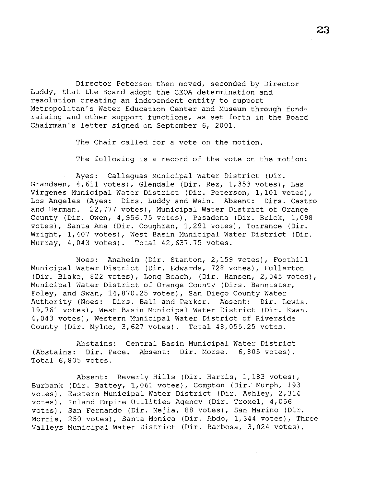Director Peterson then moved, seconded by Director Luddy, that the Board adopt the CEQA determination and resolution creating an independent entity to support Metropolitan's Water Education Center and Museum through fundraising and other support functions, as set forth in the Board Chairman's letter signed on September 6, 2001.

The Chair called for a vote on the motion.

The following is a record of the vote on the motion:

Ayes: Calleguas Municipal Water District (Dir. Grandsen, 4,611 votes), Glendale (Dir. Rez, 1,353 votes), Las Virgenes Municipal Water District (Dir. Peterson, 1,101 votes), Los Angeles (Ayes: Dirs. Luddy and Wein. Absent: Dirs. Castro and Herman. 22,777 votes), Municipal Water District of Orange County (Dir. Owen, 4,956.75 votes), Pasadena (Dir. Brick, 1,098 votes), Santa Ana (Dir. Coughran, 1,291 votes), Torrance (Dir. Wright, 1,407 votes), West Basin Municipal Water District (Dir. Murray, 4,043 votes). Total 42,637.75 votes.

Noes: Anaheim (Dir. Stanton, 2,159 votes), Foothill Municipal Water District (Dir. Edwards, 728 votes), Fullerton (Dir. Blake, 822 votes), Long Beach, (Dir. Hansen, 2,045 votes), Municipal Water District of Orange County (Dirs. Bannister, Foley, and Swan, 14,870.25 votes), San Diego County Water Authority (Noes: Dirs. Ball and Parker. Absent: Dir. Lewis. 19,761 votes), West Basin Municipal Water District (Dir. Kwan, 4,043 votes), Western Municipal Water District of Riverside County (Dir. Mylne, 3,627 votes). Total 48,055.25 votes.

Abstains: Central Basin Municipal Water District (Abstains: Dir. Pace. Absent: Dir. Morse. 6,805 votes). Total 6,805 votes.

Absent: Beverly Hills (Dir. Harris, 1,183 votes), Burbank (Dir. Battey, 1,061 votes), Compton (Dir. Murph, 193 votes), Eastern Municipal Water District (Dir. Ashley, 2,314 votes), Inland Empire Utilities Agency (Dir. Troxel, 4,056 votes), San Fernando (Dir. Mejia, 88 votes), San Marino (Dir. Morris, 250 votes), Santa Monica (Dir. Abdo, 1,344 votes), Three Valleys Municipal Water District (Dir. Barbosa, 3,024 votes),